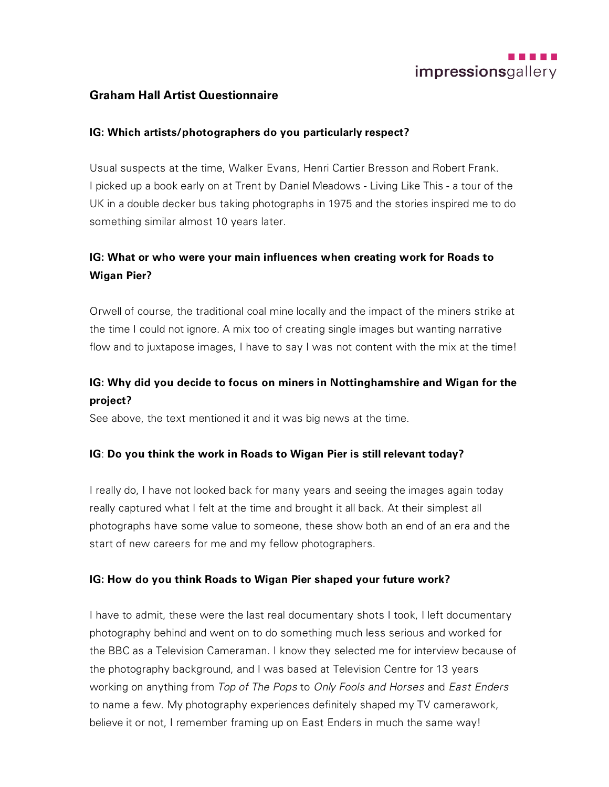

## **Graham Hall Artist Questionnaire**

#### **IG: Which artists/photographers do you particularly respect?**

Usual suspects at the time, Walker Evans, Henri Cartier Bresson and Robert Frank. I picked up a book early on at Trent by Daniel Meadows - Living Like This - a tour of the UK in a double decker bus taking photographs in 1975 and the stories inspired me to do something similar almost 10 years later.

## **IG: What or who were your main influences when creating work for Roads to Wigan Pier?**

Orwell of course, the traditional coal mine locally and the impact of the miners strike at the time I could not ignore. A mix too of creating single images but wanting narrative flow and to juxtapose images, I have to say I was not content with the mix at the time!

## **IG: Why did you decide to focus on miners in Nottinghamshire and Wigan for the project?**

See above, the text mentioned it and it was big news at the time.

#### **IG**: **Do you think the work in Roads to Wigan Pier is still relevant today?**

I really do, I have not looked back for many years and seeing the images again today really captured what I felt at the time and brought it all back. At their simplest all photographs have some value to someone, these show both an end of an era and the start of new careers for me and my fellow photographers.

#### **IG: How do you think Roads to Wigan Pier shaped your future work?**

I have to admit, these were the last real documentary shots I took, I left documentary photography behind and went on to do something much less serious and worked for the BBC as a Television Cameraman. I know they selected me for interview because of the photography background, and I was based at Television Centre for 13 years working on anything from *Top of The Pops* to *Only Fools and Horses* and *East Enders* to name a few. My photography experiences definitely shaped my TV camerawork, believe it or not, I remember framing up on East Enders in much the same way!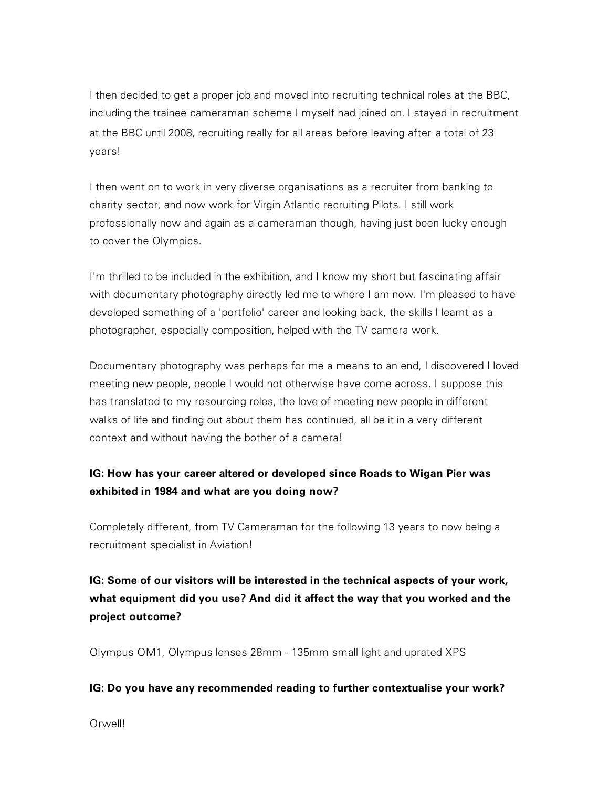I then decided to get a proper job and moved into recruiting technical roles at the BBC, including the trainee cameraman scheme I myself had joined on. I stayed in recruitment at the BBC until 2008, recruiting really for all areas before leaving after a total of 23 years!

I then went on to work in very diverse organisations as a recruiter from banking to charity sector, and now work for Virgin Atlantic recruiting Pilots. I still work professionally now and again as a cameraman though, having just been lucky enough to cover the Olympics.

I'm thrilled to be included in the exhibition, and I know my short but fascinating affair with documentary photography directly led me to where I am now. I'm pleased to have developed something of a 'portfolio' career and looking back, the skills I learnt as a photographer, especially composition, helped with the TV camera work.

Documentary photography was perhaps for me a means to an end, I discovered I loved meeting new people, people I would not otherwise have come across. I suppose this has translated to my resourcing roles, the love of meeting new people in different walks of life and finding out about them has continued, all be it in a very different context and without having the bother of a camera!

## **IG: How has your career altered or developed since Roads to Wigan Pier was exhibited in 1984 and what are you doing now?**

Completely different, from TV Cameraman for the following 13 years to now being a recruitment specialist in Aviation!

# **IG: Some of our visitors will be interested in the technical aspects of your work, what equipment did you use? And did it affect the way that you worked and the project outcome?**

Olympus OM1, Olympus lenses 28mm - 135mm small light and uprated XPS

## **IG: Do you have any recommended reading to further contextualise your work?**

Orwell!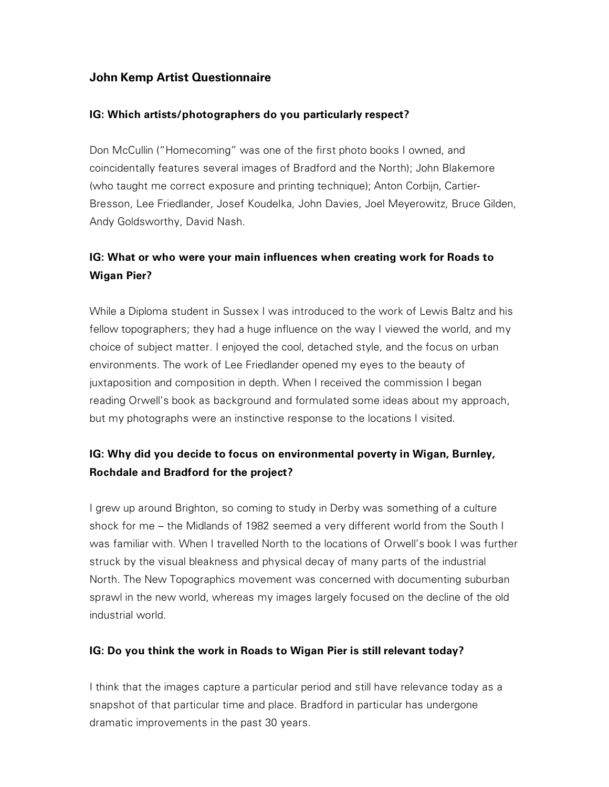## **John Kemp Artist Questionnaire**

### **IG: Which artists/photographers do you particularly respect?**

Don McCullin ("Homecoming" was one of the first photo books I owned, and coincidentally features several images of Bradford and the North); John Blakemore (who taught me correct exposure and printing technique); Anton Corbijn, Cartier-Bresson, Lee Friedlander, Josef Koudelka, John Davies, Joel Meyerowitz, Bruce Gilden, Andy Goldsworthy, David Nash.

## **IG: What or who were your main influences when creating work for Roads to Wigan Pier?**

While a Diploma student in Sussex I was introduced to the work of Lewis Baltz and his fellow topographers; they had a huge influence on the way I viewed the world, and my choice of subject matter. I enjoyed the cool, detached style, and the focus on urban environments. The work of Lee Friedlander opened my eyes to the beauty of juxtaposition and composition in depth. When I received the commission I began reading Orwell's book as background and formulated some ideas about my approach, but my photographs were an instinctive response to the locations I visited.

## **IG: Why did you decide to focus on environmental poverty in Wigan, Burnley, Rochdale and Bradford for the project?**

I grew up around Brighton, so coming to study in Derby was something of a culture shock for me – the Midlands of 1982 seemed a very different world from the South I was familiar with. When I travelled North to the locations of Orwell's book I was further struck by the visual bleakness and physical decay of many parts of the industrial North. The New Topographics movement was concerned with documenting suburban sprawl in the new world, whereas my images largely focused on the decline of the old industrial world.

#### **IG: Do you think the work in Roads to Wigan Pier is still relevant today?**

I think that the images capture a particular period and still have relevance today as a snapshot of that particular time and place. Bradford in particular has undergone dramatic improvements in the past 30 years.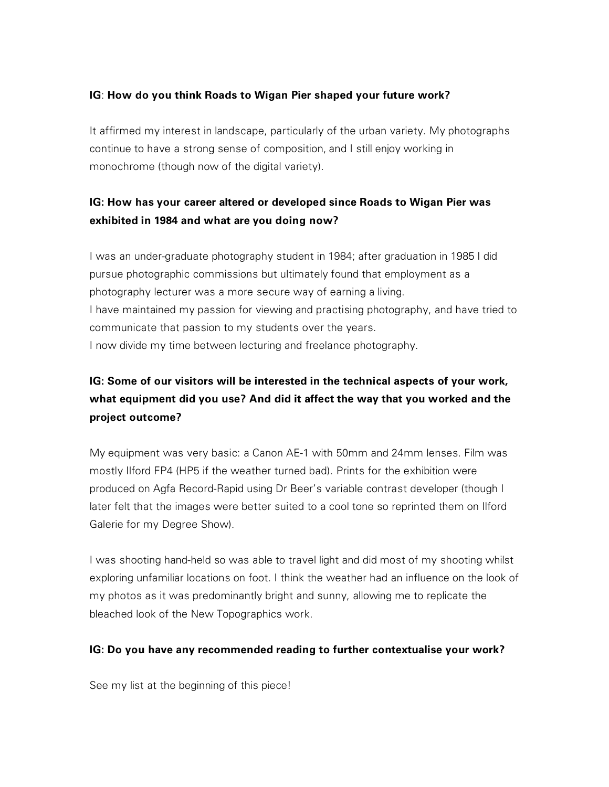### **IG**: **How do you think Roads to Wigan Pier shaped your future work?**

It affirmed my interest in landscape, particularly of the urban variety. My photographs continue to have a strong sense of composition, and I still enjoy working in monochrome (though now of the digital variety).

## **IG: How has your career altered or developed since Roads to Wigan Pier was exhibited in 1984 and what are you doing now?**

I was an under-graduate photography student in 1984; after graduation in 1985 I did pursue photographic commissions but ultimately found that employment as a photography lecturer was a more secure way of earning a living. I have maintained my passion for viewing and practising photography, and have tried to communicate that passion to my students over the years. I now divide my time between lecturing and freelance photography.

# **IG: Some of our visitors will be interested in the technical aspects of your work, what equipment did you use? And did it affect the way that you worked and the project outcome?**

My equipment was very basic: a Canon AE-1 with 50mm and 24mm lenses. Film was mostly Ilford FP4 (HP5 if the weather turned bad). Prints for the exhibition were produced on Agfa Record-Rapid using Dr Beer's variable contrast developer (though I later felt that the images were better suited to a cool tone so reprinted them on Ilford Galerie for my Degree Show).

I was shooting hand-held so was able to travel light and did most of my shooting whilst exploring unfamiliar locations on foot. I think the weather had an influence on the look of my photos as it was predominantly bright and sunny, allowing me to replicate the bleached look of the New Topographics work.

#### **IG: Do you have any recommended reading to further contextualise your work?**

See my list at the beginning of this piece!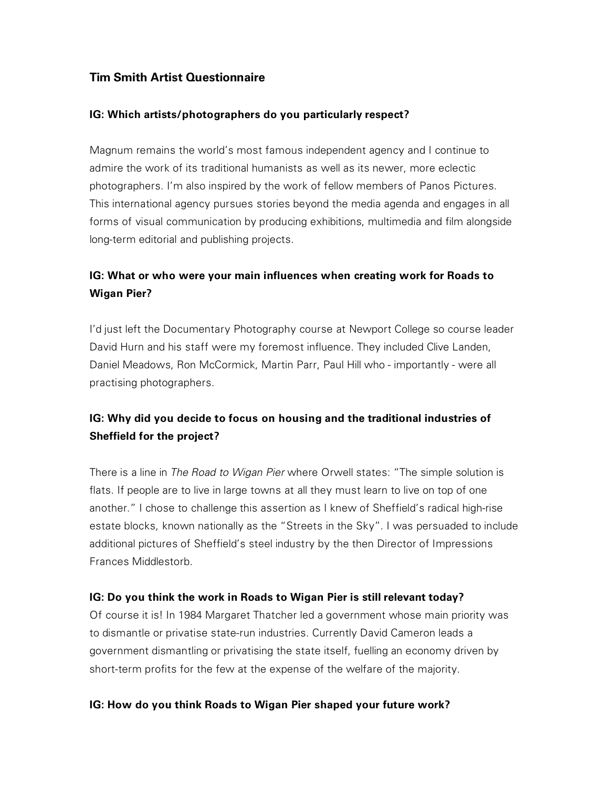## **Tim Smith Artist Questionnaire**

### **IG: Which artists/photographers do you particularly respect?**

Magnum remains the world's most famous independent agency and I continue to admire the work of its traditional humanists as well as its newer, more eclectic photographers. I'm also inspired by the work of fellow members of Panos Pictures. This international agency pursues stories beyond the media agenda and engages in all forms of visual communication by producing exhibitions, multimedia and film alongside long-term editorial and publishing projects.

## **IG: What or who were your main influences when creating work for Roads to Wigan Pier?**

I'd just left the Documentary Photography course at Newport College so course leader David Hurn and his staff were my foremost influence. They included Clive Landen, Daniel Meadows, Ron McCormick, Martin Parr, Paul Hill who - importantly - were all practising photographers.

## **IG: Why did you decide to focus on housing and the traditional industries of Sheffield for the project?**

There is a line in *The Road to Wigan Pier* where Orwell states: "The simple solution is flats. If people are to live in large towns at all they must learn to live on top of one another." I chose to challenge this assertion as I knew of Sheffield's radical high-rise estate blocks, known nationally as the "Streets in the Sky". I was persuaded to include additional pictures of Sheffield's steel industry by the then Director of Impressions Frances Middlestorb.

#### **IG: Do you think the work in Roads to Wigan Pier is still relevant today?**

Of course it is! In 1984 Margaret Thatcher led a government whose main priority was to dismantle or privatise state-run industries. Currently David Cameron leads a government dismantling or privatising the state itself, fuelling an economy driven by short-term profits for the few at the expense of the welfare of the majority.

#### **IG: How do you think Roads to Wigan Pier shaped your future work?**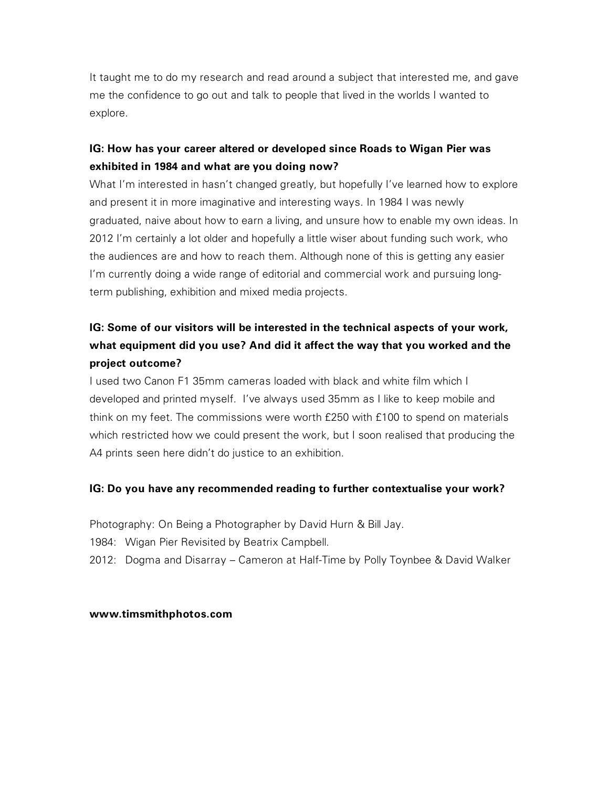It taught me to do my research and read around a subject that interested me, and gave me the confidence to go out and talk to people that lived in the worlds I wanted to explore.

## **IG: How has your career altered or developed since Roads to Wigan Pier was exhibited in 1984 and what are you doing now?**

What I'm interested in hasn't changed greatly, but hopefully I've learned how to explore and present it in more imaginative and interesting ways. In 1984 I was newly graduated, naive about how to earn a living, and unsure how to enable my own ideas. In 2012 I'm certainly a lot older and hopefully a little wiser about funding such work, who the audiences are and how to reach them. Although none of this is getting any easier I'm currently doing a wide range of editorial and commercial work and pursuing longterm publishing, exhibition and mixed media projects.

# **IG: Some of our visitors will be interested in the technical aspects of your work, what equipment did you use? And did it affect the way that you worked and the project outcome?**

I used two Canon F1 35mm cameras loaded with black and white film which I developed and printed myself. I've always used 35mm as I like to keep mobile and think on my feet. The commissions were worth £250 with £100 to spend on materials which restricted how we could present the work, but I soon realised that producing the A4 prints seen here didn't do justice to an exhibition.

## **IG: Do you have any recommended reading to further contextualise your work?**

Photography: On Being a Photographer by David Hurn & Bill Jay.

1984: Wigan Pier Revisited by Beatrix Campbell.

2012: Dogma and Disarray – Cameron at Half-Time by Polly Toynbee & David Walker

#### **www.timsmithphotos.com**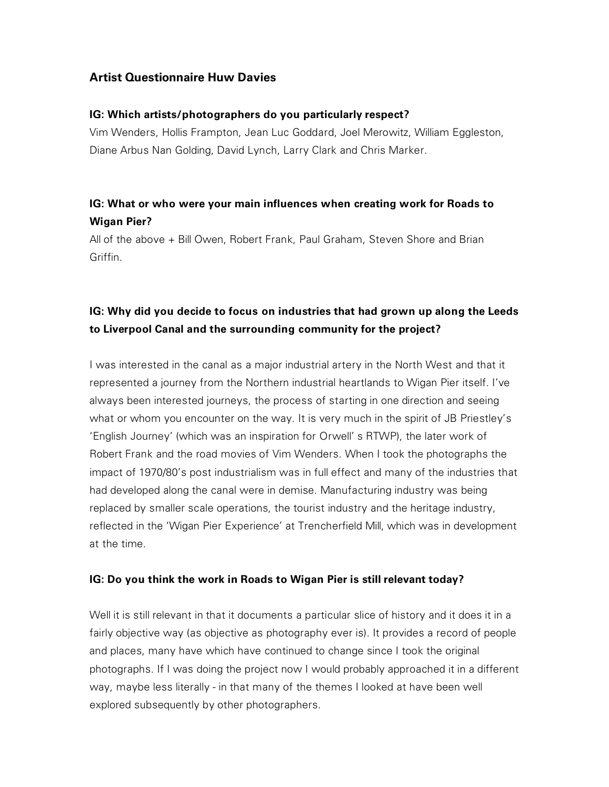## **Artist Questionnaire Huw Davies**

### **IG: Which artists/photographers do you particularly respect?**

Vim Wenders, Hollis Frampton, Jean Luc Goddard, Joel Merowitz, William Eggleston, Diane Arbus Nan Golding, David Lynch, Larry Clark and Chris Marker.

## **IG: What or who were your main influences when creating work for Roads to Wigan Pier?**

All of the above + Bill Owen, Robert Frank, Paul Graham, Steven Shore and Brian Griffin.

## **IG: Why did you decide to focus on industries that had grown up along the Leeds to Liverpool Canal and the surrounding community for the project?**

I was interested in the canal as a major industrial artery in the North West and that it represented a journey from the Northern industrial heartlands to Wigan Pier itself. I've always been interested journeys, the process of starting in one direction and seeing what or whom you encounter on the way. It is very much in the spirit of JB Priestley's 'English Journey' (which was an inspiration for Orwell' s RTWP), the later work of Robert Frank and the road movies of Vim Wenders. When I took the photographs the impact of 1970/80's post industrialism was in full effect and many of the industries that had developed along the canal were in demise. Manufacturing industry was being replaced by smaller scale operations, the tourist industry and the heritage industry, reflected in the 'Wigan Pier Experience' at Trencherfield Mill, which was in development at the time.

## **IG: Do you think the work in Roads to Wigan Pier is still relevant today?**

Well it is still relevant in that it documents a particular slice of history and it does it in a fairly objective way (as objective as photography ever is). It provides a record of people and places, many have which have continued to change since I took the original photographs. If I was doing the project now I would probably approached it in a different way, maybe less literally - in that many of the themes I looked at have been well explored subsequently by other photographers.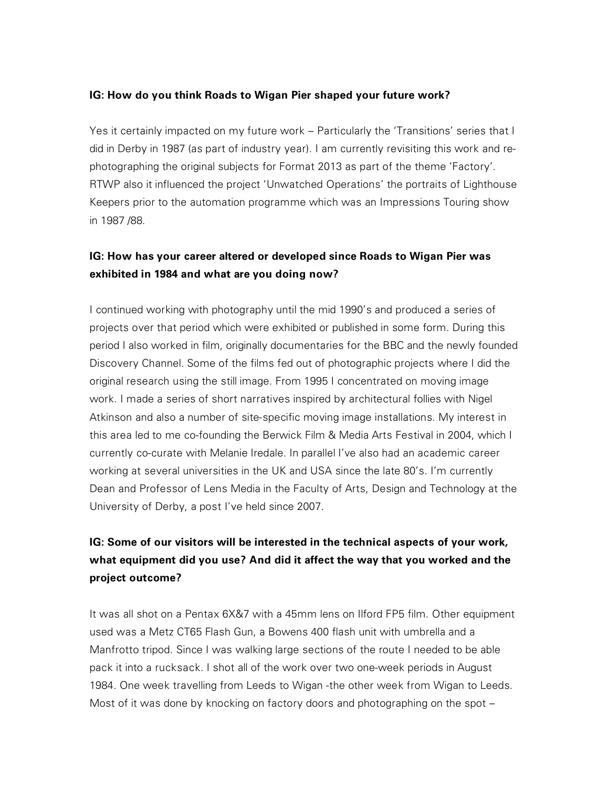#### **IG: How do you think Roads to Wigan Pier shaped your future work?**

Yes it certainly impacted on my future work – Particularly the 'Transitions' series that I did in Derby in 1987 (as part of industry year). I am currently revisiting this work and rephotographing the original subjects for Format 2013 as part of the theme 'Factory'. RTWP also it influenced the project 'Unwatched Operations' the portraits of Lighthouse Keepers prior to the automation programme which was an Impressions Touring show in 1987 /88.

## **IG: How has your career altered or developed since Roads to Wigan Pier was exhibited in 1984 and what are you doing now?**

I continued working with photography until the mid 1990's and produced a series of projects over that period which were exhibited or published in some form. During this period I also worked in film, originally documentaries for the BBC and the newly founded Discovery Channel. Some of the films fed out of photographic projects where I did the original research using the still image. From 1995 I concentrated on moving image work. I made a series of short narratives inspired by architectural follies with Nigel Atkinson and also a number of site-specific moving image installations. My interest in this area led to me co-founding the Berwick Film & Media Arts Festival in 2004, which I currently co-curate with Melanie Iredale. In parallel I've also had an academic career working at several universities in the UK and USA since the late 80's. I'm currently Dean and Professor of Lens Media in the Faculty of Arts, Design and Technology at the University of Derby, a post I've held since 2007.

# **IG: Some of our visitors will be interested in the technical aspects of your work, what equipment did you use? And did it affect the way that you worked and the project outcome?**

It was all shot on a Pentax 6X&7 with a 45mm lens on Ilford FP5 film. Other equipment used was a Metz CT65 Flash Gun, a Bowens 400 flash unit with umbrella and a Manfrotto tripod. Since I was walking large sections of the route I needed to be able pack it into a rucksack. I shot all of the work over two one-week periods in August 1984. One week travelling from Leeds to Wigan -the other week from Wigan to Leeds. Most of it was done by knocking on factory doors and photographing on the spot –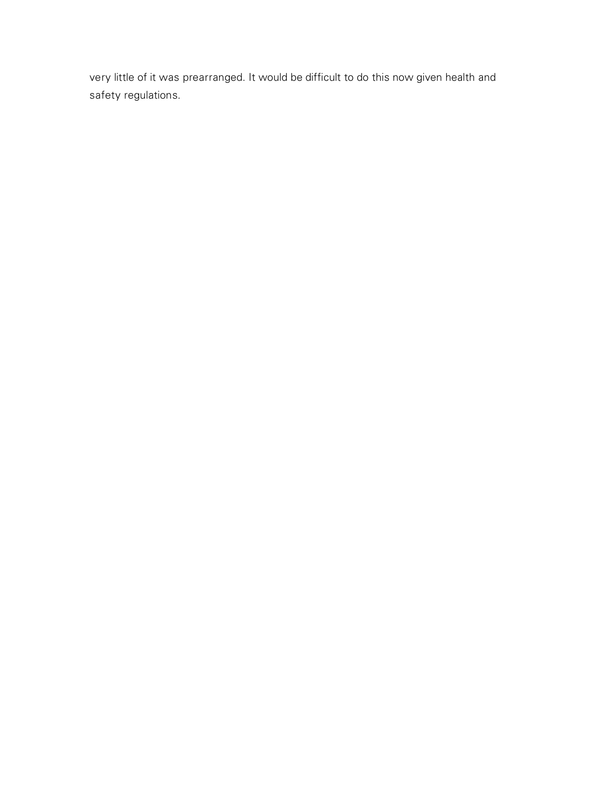very little of it was prearranged. It would be difficult to do this now given health and safety regulations.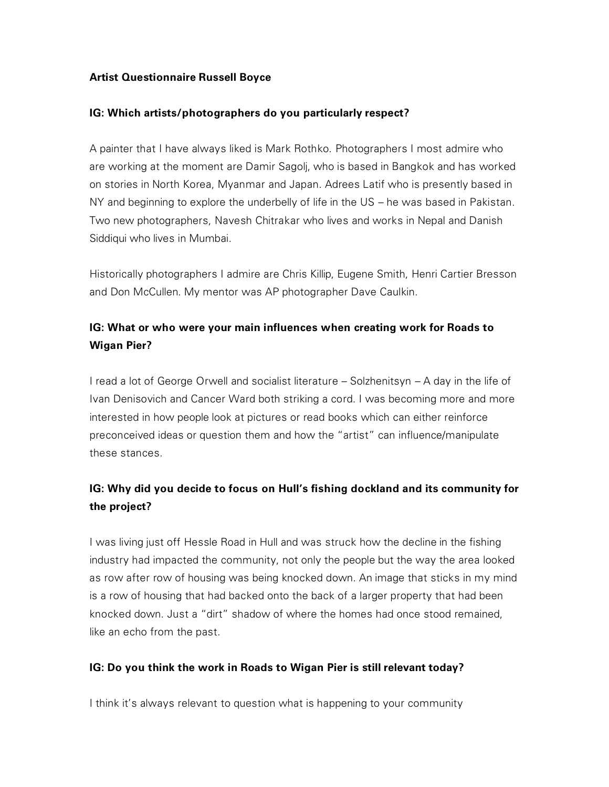### **Artist Questionnaire Russell Boyce**

#### **IG: Which artists/photographers do you particularly respect?**

A painter that I have always liked is Mark Rothko. Photographers I most admire who are working at the moment are Damir Sagolj, who is based in Bangkok and has worked on stories in North Korea, Myanmar and Japan. Adrees Latif who is presently based in NY and beginning to explore the underbelly of life in the US – he was based in Pakistan. Two new photographers, Navesh Chitrakar who lives and works in Nepal and Danish Siddiqui who lives in Mumbai.

Historically photographers I admire are Chris Killip, Eugene Smith, Henri Cartier Bresson and Don McCullen. My mentor was AP photographer Dave Caulkin.

## **IG: What or who were your main influences when creating work for Roads to Wigan Pier?**

I read a lot of George Orwell and socialist literature – Solzhenitsyn – A day in the life of Ivan Denisovich and Cancer Ward both striking a cord. I was becoming more and more interested in how people look at pictures or read books which can either reinforce preconceived ideas or question them and how the "artist" can influence/manipulate these stances.

## **IG: Why did you decide to focus on Hull's fishing dockland and its community for the project?**

I was living just off Hessle Road in Hull and was struck how the decline in the fishing industry had impacted the community, not only the people but the way the area looked as row after row of housing was being knocked down. An image that sticks in my mind is a row of housing that had backed onto the back of a larger property that had been knocked down. Just a "dirt" shadow of where the homes had once stood remained, like an echo from the past.

#### **IG: Do you think the work in Roads to Wigan Pier is still relevant today?**

I think it's always relevant to question what is happening to your community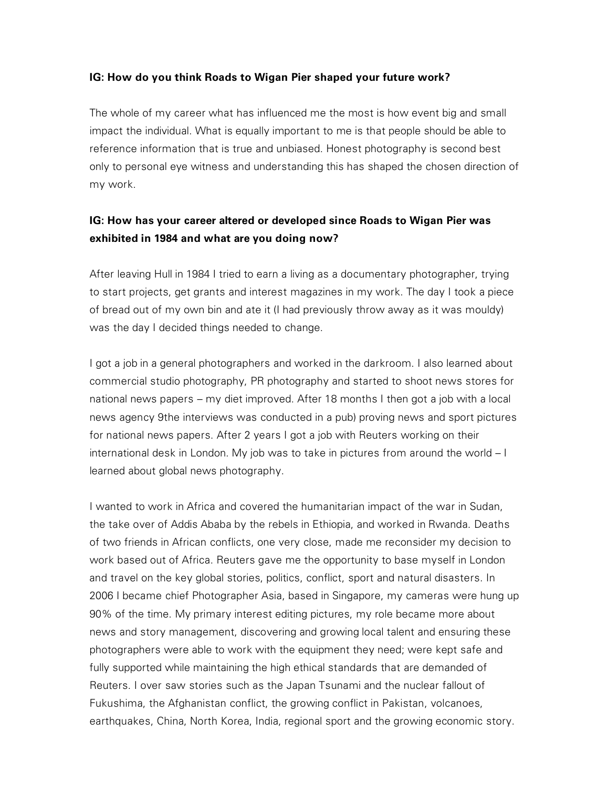#### **IG: How do you think Roads to Wigan Pier shaped your future work?**

The whole of my career what has influenced me the most is how event big and small impact the individual. What is equally important to me is that people should be able to reference information that is true and unbiased. Honest photography is second best only to personal eye witness and understanding this has shaped the chosen direction of my work.

## **IG: How has your career altered or developed since Roads to Wigan Pier was exhibited in 1984 and what are you doing now?**

After leaving Hull in 1984 I tried to earn a living as a documentary photographer, trying to start projects, get grants and interest magazines in my work. The day I took a piece of bread out of my own bin and ate it (I had previously throw away as it was mouldy) was the day I decided things needed to change.

I got a job in a general photographers and worked in the darkroom. I also learned about commercial studio photography, PR photography and started to shoot news stores for national news papers – my diet improved. After 18 months I then got a job with a local news agency 9the interviews was conducted in a pub) proving news and sport pictures for national news papers. After 2 years I got a job with Reuters working on their international desk in London. My job was to take in pictures from around the world – I learned about global news photography.

I wanted to work in Africa and covered the humanitarian impact of the war in Sudan, the take over of Addis Ababa by the rebels in Ethiopia, and worked in Rwanda. Deaths of two friends in African conflicts, one very close, made me reconsider my decision to work based out of Africa. Reuters gave me the opportunity to base myself in London and travel on the key global stories, politics, conflict, sport and natural disasters. In 2006 I became chief Photographer Asia, based in Singapore, my cameras were hung up 90% of the time. My primary interest editing pictures, my role became more about news and story management, discovering and growing local talent and ensuring these photographers were able to work with the equipment they need; were kept safe and fully supported while maintaining the high ethical standards that are demanded of Reuters. I over saw stories such as the Japan Tsunami and the nuclear fallout of Fukushima, the Afghanistan conflict, the growing conflict in Pakistan, volcanoes, earthquakes, China, North Korea, India, regional sport and the growing economic story.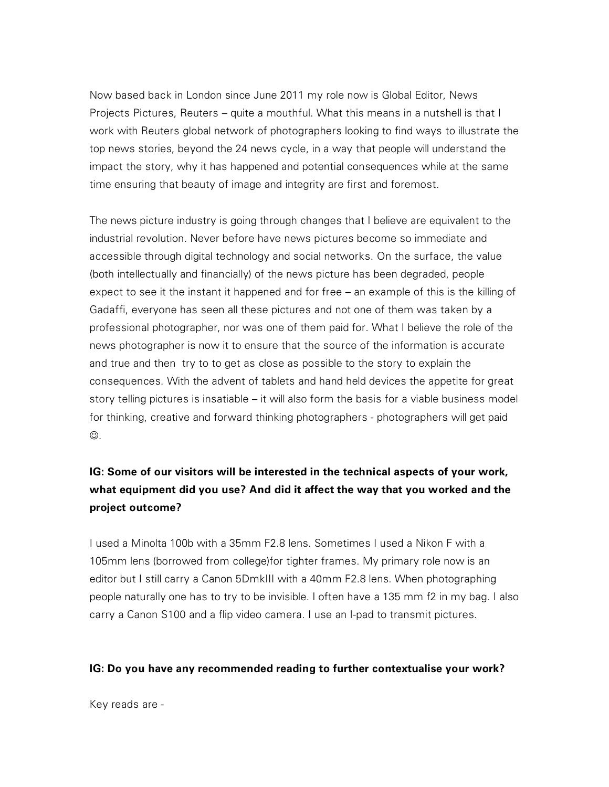Now based back in London since June 2011 my role now is Global Editor, News Projects Pictures, Reuters – quite a mouthful. What this means in a nutshell is that I work with Reuters global network of photographers looking to find ways to illustrate the top news stories, beyond the 24 news cycle, in a way that people will understand the impact the story, why it has happened and potential consequences while at the same time ensuring that beauty of image and integrity are first and foremost.

The news picture industry is going through changes that I believe are equivalent to the industrial revolution. Never before have news pictures become so immediate and accessible through digital technology and social networks. On the surface, the value (both intellectually and financially) of the news picture has been degraded, people expect to see it the instant it happened and for free – an example of this is the killing of Gadaffi, everyone has seen all these pictures and not one of them was taken by a professional photographer, nor was one of them paid for. What I believe the role of the news photographer is now it to ensure that the source of the information is accurate and true and then try to to get as close as possible to the story to explain the consequences. With the advent of tablets and hand held devices the appetite for great story telling pictures is insatiable – it will also form the basis for a viable business model for thinking, creative and forward thinking photographers - photographers will get paid  $\odot$ .

# **IG: Some of our visitors will be interested in the technical aspects of your work, what equipment did you use? And did it affect the way that you worked and the project outcome?**

I used a Minolta 100b with a 35mm F2.8 lens. Sometimes I used a Nikon F with a 105mm lens (borrowed from college)for tighter frames. My primary role now is an editor but I still carry a Canon 5DmkIII with a 40mm F2.8 lens. When photographing people naturally one has to try to be invisible. I often have a 135 mm f2 in my bag. I also carry a Canon S100 and a flip video camera. I use an I-pad to transmit pictures.

#### **IG: Do you have any recommended reading to further contextualise your work?**

Key reads are -